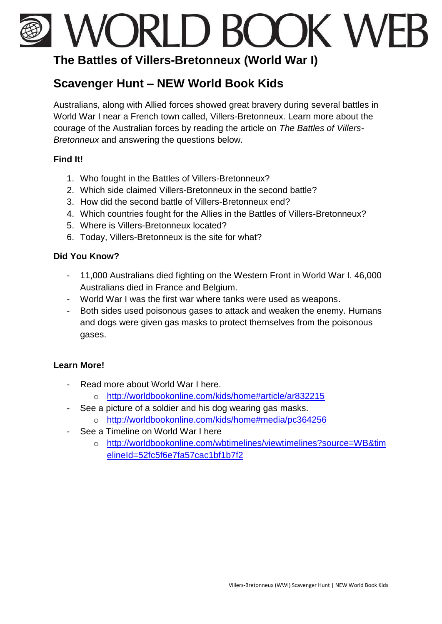# WORLD BOOK WEB

## **The Battles of Villers-Bretonneux (World War I)**

## **Scavenger Hunt – NEW World Book Kids**

Australians, along with Allied forces showed great bravery during several battles in World War I near a French town called, Villers-Bretonneux. Learn more about the courage of the Australian forces by reading the article on *The Battles of Villers-Bretonneux* and answering the questions below.

#### **Find It!**

- 1. Who fought in the Battles of Villers-Bretonneux?
- 2. Which side claimed Villers-Bretonneux in the second battle?
- 3. How did the second battle of Villers-Bretonneux end?
- 4. Which countries fought for the Allies in the Battles of Villers-Bretonneux?
- 5. Where is Villers-Bretonneux located?
- 6. Today, Villers-Bretonneux is the site for what?

### **Did You Know?**

- 11,000 Australians died fighting on the Western Front in World War I. 46,000 Australians died in France and Belgium.
- World War I was the first war where tanks were used as weapons.
- Both sides used poisonous gases to attack and weaken the enemy. Humans and dogs were given gas masks to protect themselves from the poisonous gases.

#### **Learn More!**

- Read more about World War I here.
	- o <http://worldbookonline.com/kids/home#article/ar832215>
- See a picture of a soldier and his dog wearing gas masks.
	- o <http://worldbookonline.com/kids/home#media/pc364256>
- See a Timeline on World War I here
	- o [http://worldbookonline.com/wbtimelines/viewtimelines?source=WB&tim](http://worldbookonline.com/wbtimelines/viewtimelines?source=WB&timelineId=52fc5f6e7fa57cac1bf1b7f2) [elineId=52fc5f6e7fa57cac1bf1b7f2](http://worldbookonline.com/wbtimelines/viewtimelines?source=WB&timelineId=52fc5f6e7fa57cac1bf1b7f2)